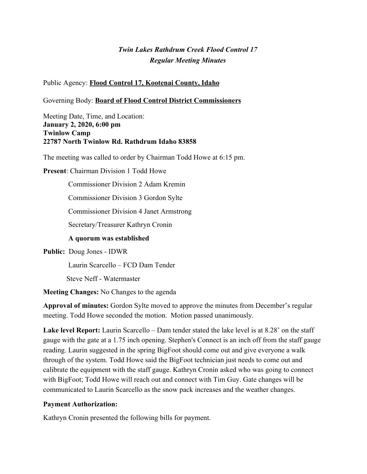# *Twin Lakes Rathdrum Creek Flood Control 17 Regular Meeting Minutes*

Public Agency: **Flood Control 17, Kootenai County, Idaho**

Governing Body: **Board of Flood Control District Commissioners**

Meeting Date, Time, and Location: **January 2, 2020, 6:00 pm Twinlow Camp 22787 North Twinlow Rd. Rathdrum Idaho 83858**

The meeting was called to order by Chairman Todd Howe at 6:15 pm.

**Present:** Chairman Division 1 Todd Howe

Commissioner Division 2 Adam Kremin

Commissioner Division 3 Gordon Sylte

Commissioner Division 4 Janet Armstrong

Secretary/Treasurer Kathryn Cronin

#### **A quorum was established**

**Public:** Doug Jones - IDWR

Laurin Scarcello – FCD Dam Tender

Steve Neff - Watermaster

**Meeting Changes:** No Changes to the agenda

**Approval of minutes:** Gordon Sylte moved to approve the minutes from December's regular meeting. Todd Howe seconded the motion. Motion passed unanimously.

**Lake level Report:** Laurin Scarcello – Dam tender stated the lake level is at 8.28' on the staff gauge with the gate at a 1.75 inch opening. Stephen's Connect is an inch off from the staff gauge reading. Laurin suggested in the spring BigFoot should come out and give everyone a walk through of the system. Todd Howe said the BigFoot technician just needs to come out and calibrate the equipment with the staff gauge. Kathryn Cronin asked who was going to connect with BigFoot; Todd Howe will reach out and connect with Tim Guy. Gate changes will be communicated to Laurin Scarcello as the snow pack increases and the weather changes.

## **Payment Authorization:**

Kathryn Cronin presented the following bills for payment.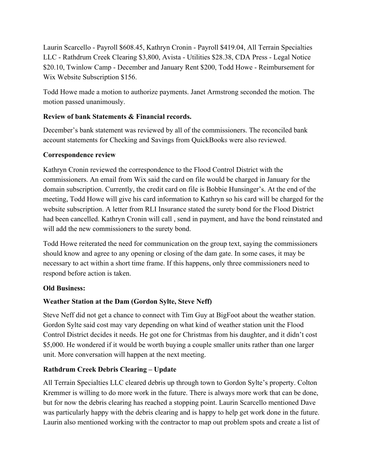Laurin Scarcello - Payroll \$608.45, Kathryn Cronin - Payroll \$419.04, All Terrain Specialties LLC - Rathdrum Creek Clearing \$3,800, Avista - Utilities \$28.38, CDA Press - Legal Notice \$20.10, Twinlow Camp - December and January Rent \$200, Todd Howe - Reimbursement for Wix Website Subscription \$156.

Todd Howe made a motion to authorize payments. Janet Armstrong seconded the motion. The motion passed unanimously.

## **Review of bank Statements & Financial records.**

December's bank statement was reviewed by all of the commissioners. The reconciled bank account statements for Checking and Savings from QuickBooks were also reviewed.

#### **Correspondence review**

Kathryn Cronin reviewed the correspondence to the Flood Control District with the commissioners. An email from Wix said the card on file would be charged in January for the domain subscription. Currently, the credit card on file is Bobbie Hunsinger's. At the end of the meeting, Todd Howe will give his card information to Kathryn so his card will be charged for the website subscription. A letter from RLI Insurance stated the surety bond for the Flood District had been cancelled. Kathryn Cronin will call , send in payment, and have the bond reinstated and will add the new commissioners to the surety bond.

Todd Howe reiterated the need for communication on the group text, saying the commissioners should know and agree to any opening or closing of the dam gate. In some cases, it may be necessary to act within a short time frame. If this happens, only three commissioners need to respond before action is taken.

## **Old Business:**

## **Weather Station at the Dam (Gordon Sylte, Steve Neff)**

Steve Neff did not get a chance to connect with Tim Guy at BigFoot about the weather station. Gordon Sylte said cost may vary depending on what kind of weather station unit the Flood Control District decides it needs. He got one for Christmas from his daughter, and it didn't cost \$5,000. He wondered if it would be worth buying a couple smaller units rather than one larger unit. More conversation will happen at the next meeting.

## **Rathdrum Creek Debris Clearing – Update**

All Terrain Specialties LLC cleared debris up through town to Gordon Sylte's property. Colton Kremmer is willing to do more work in the future. There is always more work that can be done, but for now the debris clearing has reached a stopping point. Laurin Scarcello mentioned Dave was particularly happy with the debris clearing and is happy to help get work done in the future. Laurin also mentioned working with the contractor to map out problem spots and create a list of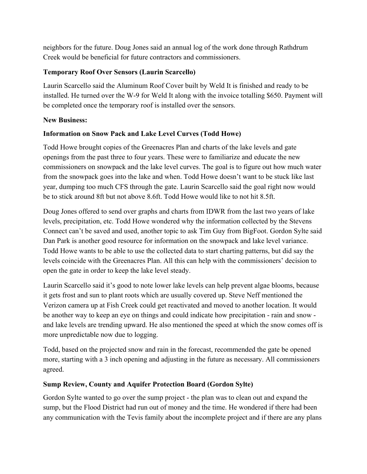neighbors for the future. Doug Jones said an annual log of the work done through Rathdrum Creek would be beneficial for future contractors and commissioners.

## **Temporary Roof Over Sensors (Laurin Scarcello)**

Laurin Scarcello said the Aluminum Roof Cover built by Weld It is finished and ready to be installed. He turned over the W-9 for Weld It along with the invoice totalling \$650. Payment will be completed once the temporary roof is installed over the sensors.

#### **New Business:**

## **Information on Snow Pack and Lake Level Curves (Todd Howe)**

Todd Howe brought copies of the Greenacres Plan and charts of the lake levels and gate openings from the past three to four years. These were to familiarize and educate the new commissioners on snowpack and the lake level curves. The goal is to figure out how much water from the snowpack goes into the lake and when. Todd Howe doesn't want to be stuck like last year, dumping too much CFS through the gate. Laurin Scarcello said the goal right now would be to stick around 8ft but not above 8.6ft. Todd Howe would like to not hit 8.5ft.

Doug Jones offered to send over graphs and charts from IDWR from the last two years of lake levels, precipitation, etc. Todd Howe wondered why the information collected by the Stevens Connect can't be saved and used, another topic to ask Tim Guy from BigFoot. Gordon Sylte said Dan Park is another good resource for information on the snowpack and lake level variance. Todd Howe wants to be able to use the collected data to start charting patterns, but did say the levels coincide with the Greenacres Plan. All this can help with the commissioners' decision to open the gate in order to keep the lake level steady.

Laurin Scarcello said it's good to note lower lake levels can help prevent algae blooms, because it gets frost and sun to plant roots which are usually covered up. Steve Neff mentioned the Verizon camera up at Fish Creek could get reactivated and moved to another location. It would be another way to keep an eye on things and could indicate how precipitation - rain and snow and lake levels are trending upward. He also mentioned the speed at which the snow comes off is more unpredictable now due to logging.

Todd, based on the projected snow and rain in the forecast, recommended the gate be opened more, starting with a 3 inch opening and adjusting in the future as necessary. All commissioners agreed.

## **Sump Review, County and Aquifer Protection Board (Gordon Sylte)**

Gordon Sylte wanted to go over the sump project - the plan was to clean out and expand the sump, but the Flood District had run out of money and the time. He wondered if there had been any communication with the Tevis family about the incomplete project and if there are any plans